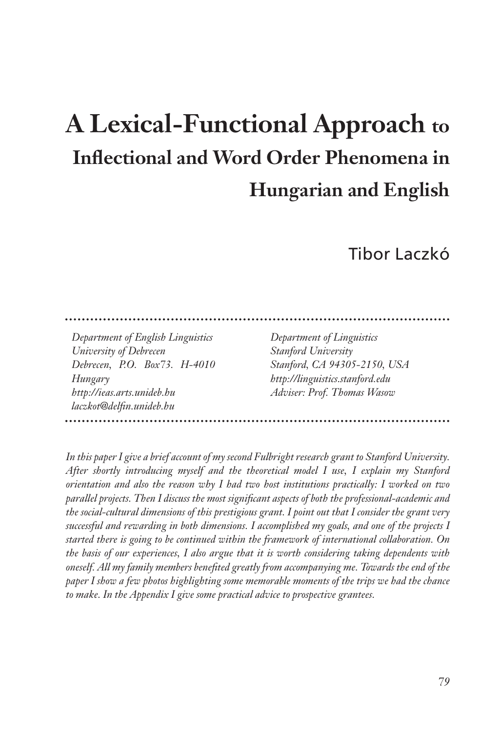# **A Lexical-Functional Approach to Inflectional and Word Order Phenomena in Hungarian and English**

# Tibor Laczkó

*Department of English Linguistics University of Debrecen Debrecen, P.O. Box73. H-4010 Hungary http://ieas.arts.unideb.hu laczkot@delfin.unideb.hu*

*Department of Linguistics Stanford University Stanford, CA 94305-2150, USA http://linguistics.stanford.edu Adviser: Prof. Thomas Wasow*

*In this paper I give a brief account of my second Fulbright research grant to Stanford University. After shortly introducing myself and the theoretical model I use, I explain my Stanford orientation and also the reason why I had two host institutions practically: I worked on two parallel projects. Then I discuss the most significant aspects of both the professional-academic and the social-cultural dimensions of this prestigious grant. I point out that I consider the grant very successful and rewarding in both dimensions. I accomplished my goals, and one of the projects I started there is going to be continued within the framework of international collaboration. On the basis of our experiences, I also argue that it is worth considering taking dependents with oneself. All my family members benefited greatly from accompanying me. Towards the end of the paper I show a few photos highlighting some memorable moments of the trips we had the chance to make. In the Appendix I give some practical advice to prospective grantees.*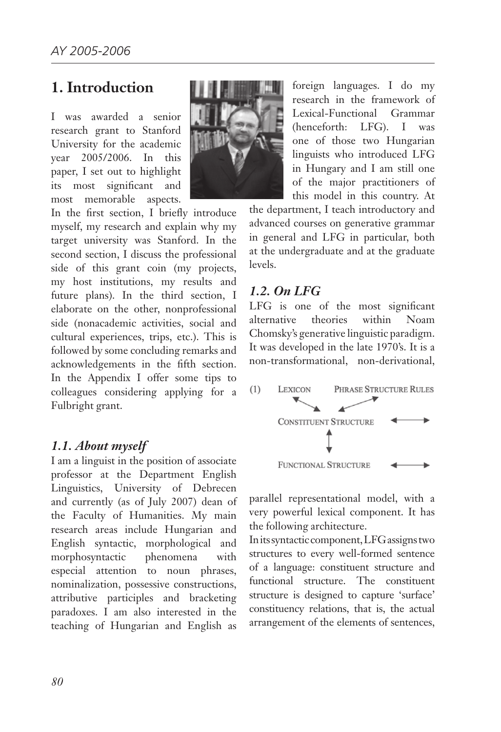# **1. Introduction**

I was awarded a senior research grant to Stanford University for the academic year 2005/2006. In this paper, I set out to highlight its most significant and most memorable aspects.



#### *1.1. About myself*

I am a linguist in the position of associate professor at the Department English Linguistics, University of Debrecen and currently (as of July 2007) dean of the Faculty of Humanities. My main research areas include Hungarian and English syntactic, morphological and morphosyntactic phenomena with especial attention to noun phrases, nominalization, possessive constructions, attributive participles and bracketing paradoxes. I am also interested in the teaching of Hungarian and English as



foreign languages. I do my research in the framework of Lexical-Functional Grammar (henceforth: LFG). I was one of those two Hungarian linguists who introduced LFG in Hungary and I am still one of the major practitioners of this model in this country. At

the department, I teach introductory and advanced courses on generative grammar in general and LFG in particular, both at the undergraduate and at the graduate levels.

#### *1.2. On LFG*

LFG is one of the most significant alternative theories within Noam Chomsky's generative linguistic paradigm. It was developed in the late 1970's. It is a non-transformational, non-derivational,



parallel representational model, with a very powerful lexical component. It has the following architecture.

In its syntactic component, LFG assigns two structures to every well-formed sentence of a language: constituent structure and functional structure. The constituent structure is designed to capture 'surface' constituency relations, that is, the actual arrangement of the elements of sentences,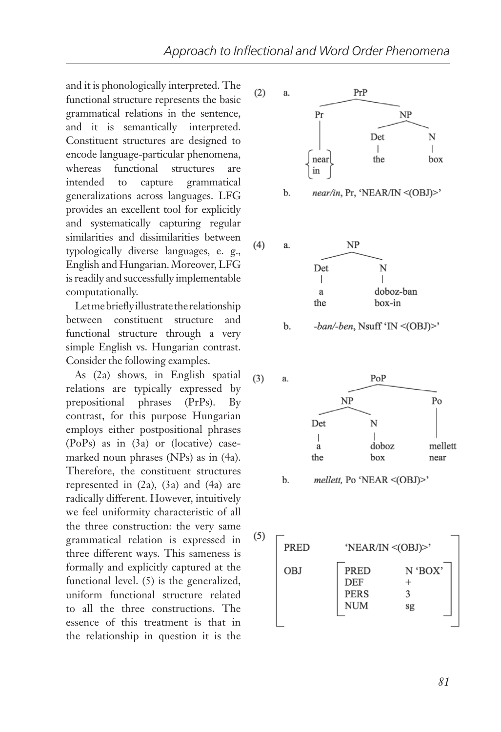and it is phonologically interpreted. The functional structure represents the basic grammatical relations in the sentence, and it is semantically interpreted. Constituent structures are designed to encode language-particular phenomena, whereas functional structures are intended to capture grammatical generalizations across languages. LFG provides an excellent tool for explicitly and systematically capturing regular similarities and dissimilarities between typologically diverse languages, e. g., English and Hungarian. Moreover, LFG is readily and successfully implementable computationally.

Let me briefly illustrate the relationship between constituent structure and functional structure through a very simple English vs. Hungarian contrast. Consider the following examples.

As (2a) shows, in English spatial relations are typically expressed by prepositional phrases (PrPs). By contrast, for this purpose Hungarian employs either postpositional phrases (PoPs) as in (3a) or (locative) casemarked noun phrases (NPs) as in (4a). Therefore, the constituent structures represented in  $(2a)$ ,  $(3a)$  and  $(4a)$  are radically different. However, intuitively we feel uniformity characteristic of all the three construction: the very same grammatical relation is expressed in three different ways. This sameness is formally and explicitly captured at the functional level. (5) is the generalized, uniform functional structure related to all the three constructions. The essence of this treatment is that in the relationship in question it is the





-ban/-ben, Nsuff 'IN <(OBJ)>' b.



mellett, Po 'NEAR <(OBJ)>' b.

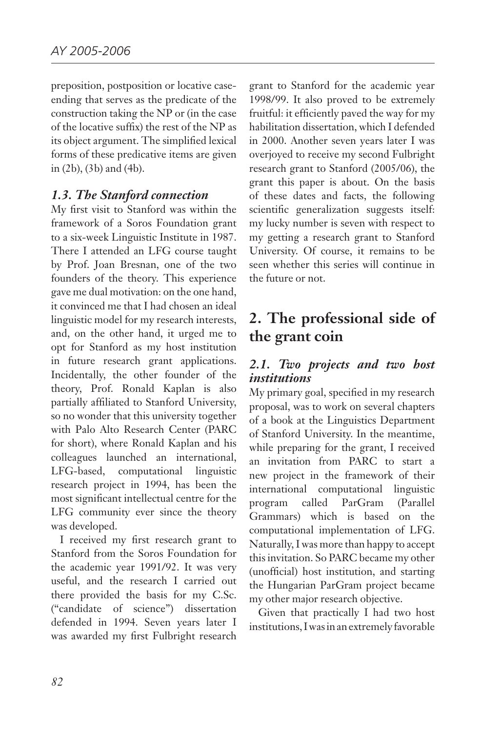preposition, postposition or locative caseending that serves as the predicate of the construction taking the NP or (in the case of the locative suffix) the rest of the NP as its object argument. The simplified lexical forms of these predicative items are given in (2b), (3b) and (4b).

#### *1.3. The Stanford connection*

My first visit to Stanford was within the framework of a Soros Foundation grant to a six-week Linguistic Institute in 1987. There I attended an LFG course taught by Prof. Joan Bresnan, one of the two founders of the theory. This experience gave me dual motivation: on the one hand, it convinced me that I had chosen an ideal linguistic model for my research interests, and, on the other hand, it urged me to opt for Stanford as my host institution in future research grant applications. Incidentally, the other founder of the theory, Prof. Ronald Kaplan is also partially affiliated to Stanford University, so no wonder that this university together with Palo Alto Research Center (PARC for short), where Ronald Kaplan and his colleagues launched an international, LFG-based, computational linguistic research project in 1994, has been the most significant intellectual centre for the LFG community ever since the theory was developed.

I received my first research grant to Stanford from the Soros Foundation for the academic year 1991/92. It was very useful, and the research I carried out there provided the basis for my C.Sc. ("candidate of science") dissertation defended in 1994. Seven years later I was awarded my first Fulbright research

grant to Stanford for the academic year 1998/99. It also proved to be extremely fruitful: it efficiently paved the way for my habilitation dissertation, which I defended in 2000. Another seven years later I was overjoyed to receive my second Fulbright research grant to Stanford (2005/06), the grant this paper is about. On the basis of these dates and facts, the following scientific generalization suggests itself: my lucky number is seven with respect to my getting a research grant to Stanford University. Of course, it remains to be seen whether this series will continue in the future or not.

# **2. The professional side of the grant coin**

#### *2.1. Two projects and two host institutions*

My primary goal, specified in my research proposal, was to work on several chapters of a book at the Linguistics Department of Stanford University. In the meantime, while preparing for the grant, I received an invitation from PARC to start a new project in the framework of their international computational linguistic program called ParGram (Parallel Grammars) which is based on the computational implementation of LFG. Naturally, I was more than happy to accept this invitation. So PARC became my other (unofficial) host institution, and starting the Hungarian ParGram project became my other major research objective.

Given that practically I had two host institutions, I was in an extremely favorable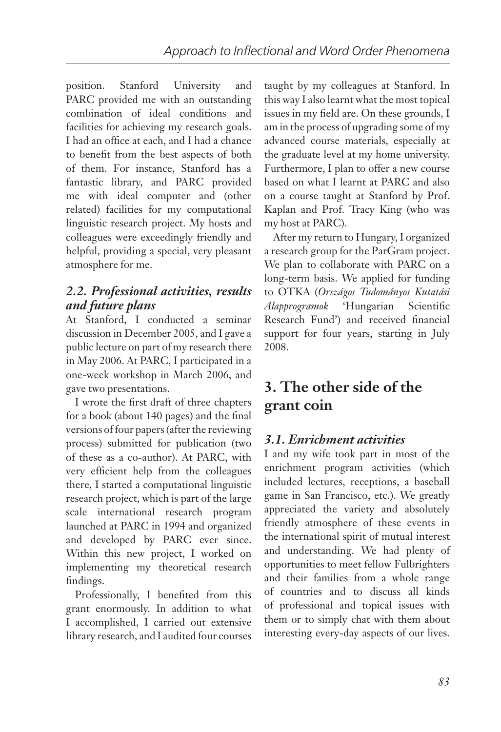position. Stanford University and PARC provided me with an outstanding combination of ideal conditions and facilities for achieving my research goals. I had an office at each, and I had a chance to benefit from the best aspects of both of them. For instance, Stanford has a fantastic library, and PARC provided me with ideal computer and (other related) facilities for my computational linguistic research project. My hosts and colleagues were exceedingly friendly and helpful, providing a special, very pleasant atmosphere for me.

#### *2.2. Professional activities, results and future plans*

At Stanford, I conducted a seminar discussion in December 2005, and I gave a public lecture on part of my research there in May 2006. At PARC, I participated in a one-week workshop in March 2006, and gave two presentations.

I wrote the first draft of three chapters for a book (about 140 pages) and the final versions of four papers (after the reviewing process) submitted for publication (two of these as a co-author). At PARC, with very efficient help from the colleagues there, I started a computational linguistic research project, which is part of the large scale international research program launched at PARC in 1994 and organized and developed by PARC ever since. Within this new project, I worked on implementing my theoretical research findings.

Professionally, I benefited from this grant enormously. In addition to what I accomplished, I carried out extensive library research, and I audited four courses taught by my colleagues at Stanford. In this way I also learnt what the most topical issues in my field are. On these grounds, I am in the process of upgrading some of my advanced course materials, especially at the graduate level at my home university. Furthermore, I plan to offer a new course based on what I learnt at PARC and also on a course taught at Stanford by Prof. Kaplan and Prof. Tracy King (who was my host at PARC).

After my return to Hungary, I organized a research group for the ParGram project. We plan to collaborate with PARC on a long-term basis. We applied for funding to OTKA (*Országos Tudományos Kutatási Alapprogramok* 'Hungarian Scientific Research Fund') and received financial support for four years, starting in July 2008.

# **3. The other side of the grant coin**

### *3.1. Enrichment activities*

I and my wife took part in most of the enrichment program activities (which included lectures, receptions, a baseball game in San Francisco, etc.). We greatly appreciated the variety and absolutely friendly atmosphere of these events in the international spirit of mutual interest and understanding. We had plenty of opportunities to meet fellow Fulbrighters and their families from a whole range of countries and to discuss all kinds of professional and topical issues with them or to simply chat with them about interesting every-day aspects of our lives.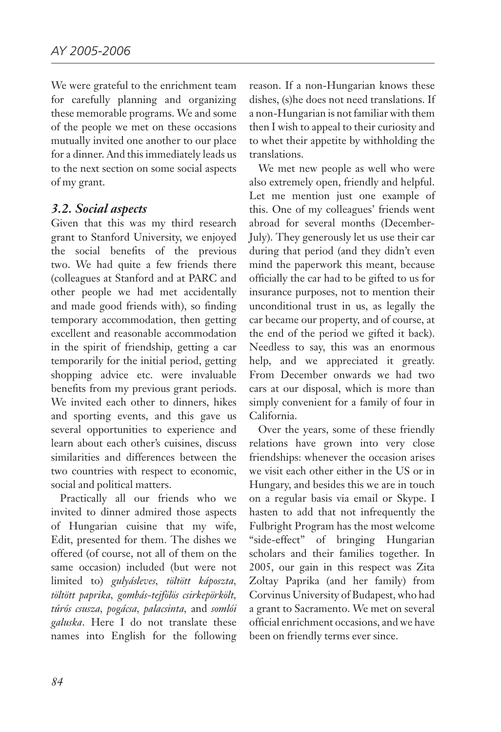We were grateful to the enrichment team for carefully planning and organizing these memorable programs. We and some of the people we met on these occasions mutually invited one another to our place for a dinner. And this immediately leads us to the next section on some social aspects of my grant.

#### *3.2. Social aspects*

Given that this was my third research grant to Stanford University, we enjoyed the social benefits of the previous two. We had quite a few friends there (colleagues at Stanford and at PARC and other people we had met accidentally and made good friends with), so finding temporary accommodation, then getting excellent and reasonable accommodation in the spirit of friendship, getting a car temporarily for the initial period, getting shopping advice etc. were invaluable benefits from my previous grant periods. We invited each other to dinners, hikes and sporting events, and this gave us several opportunities to experience and learn about each other's cuisines, discuss similarities and differences between the two countries with respect to economic, social and political matters.

Practically all our friends who we invited to dinner admired those aspects of Hungarian cuisine that my wife, Edit, presented for them. The dishes we offered (of course, not all of them on the same occasion) included (but were not limited to) *gulyásleves, töltött káposzta, töltött paprika, gombás-tejfölös csirkepörkölt, túrós csusza, pogácsa, palacsinta,* and *somlói galuska*. Here I do not translate these names into English for the following

reason. If a non-Hungarian knows these dishes, (s)he does not need translations. If a non-Hungarian is not familiar with them then I wish to appeal to their curiosity and to whet their appetite by withholding the translations.

We met new people as well who were also extremely open, friendly and helpful. Let me mention just one example of this. One of my colleagues' friends went abroad for several months (December-July). They generously let us use their car during that period (and they didn't even mind the paperwork this meant, because officially the car had to be gifted to us for insurance purposes, not to mention their unconditional trust in us, as legally the car became our property, and of course, at the end of the period we gifted it back). Needless to say, this was an enormous help, and we appreciated it greatly. From December onwards we had two cars at our disposal, which is more than simply convenient for a family of four in California.

Over the years, some of these friendly relations have grown into very close friendships: whenever the occasion arises we visit each other either in the US or in Hungary, and besides this we are in touch on a regular basis via email or Skype. I hasten to add that not infrequently the Fulbright Program has the most welcome "side-effect" of bringing Hungarian scholars and their families together. In 2005, our gain in this respect was Zita Zoltay Paprika (and her family) from Corvinus University of Budapest, who had a grant to Sacramento. We met on several official enrichment occasions, and we have been on friendly terms ever since.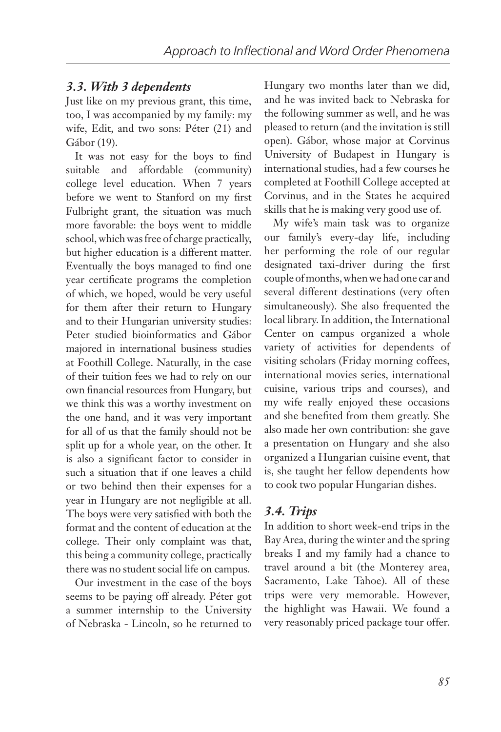#### *3.3. With 3 dependents*

Just like on my previous grant, this time, too, I was accompanied by my family: my wife, Edit, and two sons: Péter (21) and Gábor (19).

It was not easy for the boys to find suitable and affordable (community) college level education. When 7 years before we went to Stanford on my first Fulbright grant, the situation was much more favorable: the boys went to middle school, which was free of charge practically, but higher education is a different matter. Eventually the boys managed to find one year certificate programs the completion of which, we hoped, would be very useful for them after their return to Hungary and to their Hungarian university studies: Peter studied bioinformatics and Gábor majored in international business studies at Foothill College. Naturally, in the case of their tuition fees we had to rely on our own financial resources from Hungary, but we think this was a worthy investment on the one hand, and it was very important for all of us that the family should not be split up for a whole year, on the other. It is also a significant factor to consider in such a situation that if one leaves a child or two behind then their expenses for a year in Hungary are not negligible at all. The boys were very satisfied with both the format and the content of education at the college. Their only complaint was that, this being a community college, practically there was no student social life on campus.

Our investment in the case of the boys seems to be paying off already. Péter got a summer internship to the University of Nebraska - Lincoln, so he returned to Hungary two months later than we did, and he was invited back to Nebraska for the following summer as well, and he was pleased to return (and the invitation is still open). Gábor, whose major at Corvinus University of Budapest in Hungary is international studies, had a few courses he completed at Foothill College accepted at Corvinus, and in the States he acquired skills that he is making very good use of.

My wife's main task was to organize our family's every-day life, including her performing the role of our regular designated taxi-driver during the first couple of months, when we had one car and several different destinations (very often simultaneously). She also frequented the local library. In addition, the International Center on campus organized a whole variety of activities for dependents of visiting scholars (Friday morning coffees, international movies series, international cuisine, various trips and courses), and my wife really enjoyed these occasions and she benefited from them greatly. She also made her own contribution: she gave a presentation on Hungary and she also organized a Hungarian cuisine event, that is, she taught her fellow dependents how to cook two popular Hungarian dishes.

#### *3.4. Trips*

In addition to short week-end trips in the Bay Area, during the winter and the spring breaks I and my family had a chance to travel around a bit (the Monterey area, Sacramento, Lake Tahoe). All of these trips were very memorable. However, the highlight was Hawaii. We found a very reasonably priced package tour offer.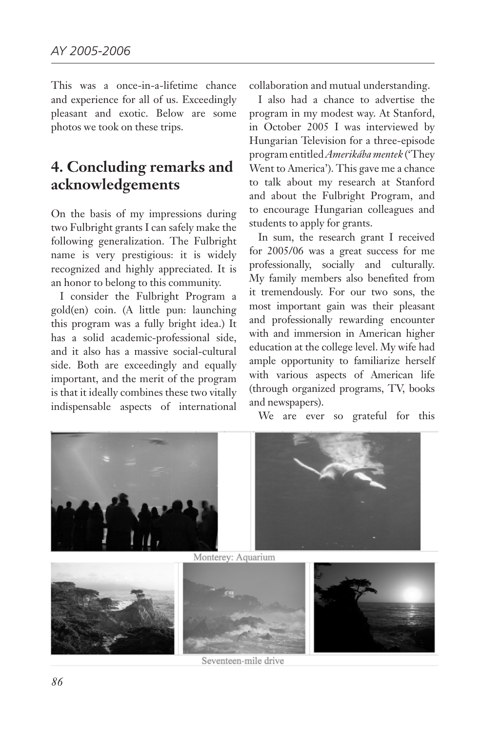This was a once-in-a-lifetime chance and experience for all of us. Exceedingly pleasant and exotic. Below are some photos we took on these trips.

# **4. Concluding remarks and acknowledgements**

On the basis of my impressions during two Fulbright grants I can safely make the following generalization. The Fulbright name is very prestigious: it is widely recognized and highly appreciated. It is an honor to belong to this community.

I consider the Fulbright Program a gold(en) coin. (A little pun: launching this program was a fully bright idea.) It has a solid academic-professional side, and it also has a massive social-cultural side. Both are exceedingly and equally important, and the merit of the program is that it ideally combines these two vitally indispensable aspects of international collaboration and mutual understanding.

I also had a chance to advertise the program in my modest way. At Stanford, in October 2005 I was interviewed by Hungarian Television for a three-episode program entitled *Amerikába mentek* ('They Went to America'). This gave me a chance to talk about my research at Stanford and about the Fulbright Program, and to encourage Hungarian colleagues and students to apply for grants.

In sum, the research grant I received for 2005/06 was a great success for me professionally, socially and culturally. My family members also benefited from it tremendously. For our two sons, the most important gain was their pleasant and professionally rewarding encounter with and immersion in American higher education at the college level. My wife had ample opportunity to familiarize herself with various aspects of American life (through organized programs, TV, books and newspapers).

We are ever so grateful for this



Seventeen-mile drive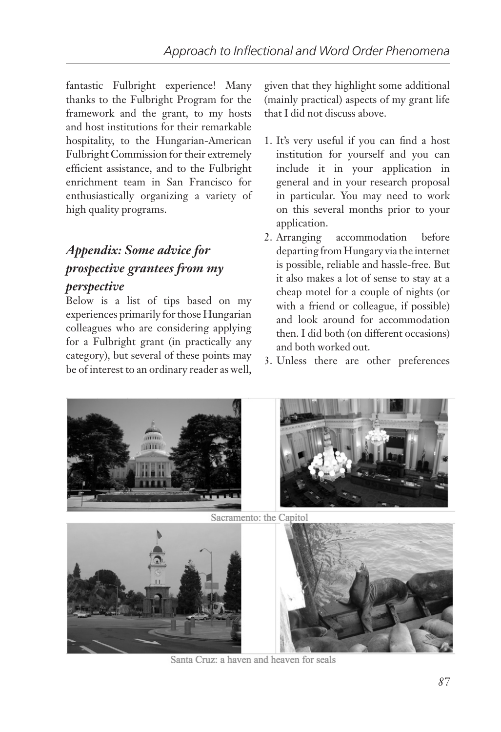fantastic Fulbright experience! Many thanks to the Fulbright Program for the framework and the grant, to my hosts and host institutions for their remarkable hospitality, to the Hungarian-American Fulbright Commission for their extremely efficient assistance, and to the Fulbright enrichment team in San Francisco for enthusiastically organizing a variety of high quality programs.

# *Appendix: Some advice for prospective grantees from my*

#### *perspective*

Below is a list of tips based on my experiences primarily for those Hungarian colleagues who are considering applying for a Fulbright grant (in practically any category), but several of these points may be of interest to an ordinary reader as well,

given that they highlight some additional (mainly practical) aspects of my grant life that I did not discuss above.

- 1. It's very useful if you can find a host institution for yourself and you can include it in your application in general and in your research proposal in particular. You may need to work on this several months prior to your application.
- 2. Arranging accommodation before departing from Hungary via the internet is possible, reliable and hassle-free. But it also makes a lot of sense to stay at a cheap motel for a couple of nights (or with a friend or colleague, if possible) and look around for accommodation then. I did both (on different occasions) and both worked out.
- 3. Unless there are other preferences



Sacramento: the Capitol



Santa Cruz: a haven and heaven for seals